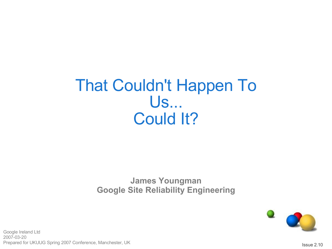# That Couldn't Happen To Us... Could It?

#### **James Youngman Google Site Reliability Engineering**



Google Ireland Ltd 2007-03-20 Prepared for UKUUG Spring 2007 Conference, Manchester, UK Issue 2.10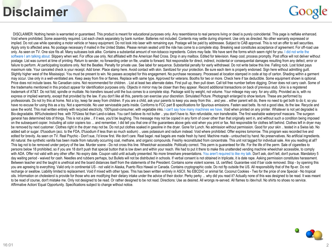# **Disclaimer**

DISCLAIMER: Nothing herein is warranted or guaranteed. This product is meant for educational purposes only. Any resemblance to real persons living or dead is purely coincidental. This page is netfake enhanced. Void where prohibited. Some assembly required. List each check separately by bank number. Batteries not included. Contents may settle during shipment. Use only as directed. No other warranty expressed or implied. Do not use while operating a motor vehicle or heavy equipment. Do not look into laser with remaining eye. Postage will be paid by addressee. Subject to CAB approval. This is not an offer to sell securities. Apply only to affected area. No postage necessary if mailed in the United States. Please remain seated until the ride has come to a complete stop. Breaking seal constitutes acceptance of agreement. For off-road use only. As seen on TV. One size fits all. Many suitcases look alike. Contains a substantial amount of non-tobacco ingredients. Colors may fade. We have sent the forms which seem right for you. I did not write the software I am talking about. Slippery when wet. For office use only. Not affiliated with the American Red Cross. Drop in any mailbox. Edited for television. Keep cool; process promptly. Post office will not deliver without postage. List was current at time of printing. Return to sender, no forwarding order on file, unable to forward. Not responsible for direct, incidental or consequential damages resulting from any defect, error or failure to perform. At participating locations only. Not the Beatles. Penalty for private use. See label for sequence. Substantial penalty for early withdrawal. Do not write below this line. Falling rock. Lost ticket pays maximum rate. Your canceled check is your receipt. Add toner. Place stamp here. Avoid contact with skin. Sanitized for your protection. Be sure each item is properly endorsed. Sign here without admitting quilt. Slightly higher west of the Mississippi. You must be present to win. No passes accepted for this engagement. No purchase necessary. Processed at location stamped in code at top of carton. Shading within a garment may occur. Use only in a well-ventilated are. Keep away from fire or flames. Replace with same type. Approved for veterans. Booths for two or more. Check here if tax deductible. Some equipment shown is optional. Price does not include taxes. No Canadian coins. Not recommended for children. . List at least two alternate dates. First pull up, then pull down. Call toll free number before digging. Driver does not carry cash. Some of the trademarks mentioned in this product appear for identification purposes only. Objects in mirror may be closer than they appear. Record additional transactions on back of previous stub. Unix is a registered trademark of AT&T. Do not fold, spindle or mutilate. No transfers issued until the bus comes to a complete stop. Package sold by weight, not volume. Your mileage may vary. for any utility. Provided as is, with no express or implied warranty, except that provided by the law. If you don't like all this, parents can exercise your discretion. Simulated Picture. Photograph enlarged to show texture. These are performed by professionals. Do not try this at home. Not a toy, keep far away from children. If you are a child, ask your parents to keep you away from this .. and yes .. either parent will do, there no need to get both to do it, so yo have no excuse for using this as a toy. Not a spermicide. No user serviceable parts inside. Conforms to FCC part B specifications for Spurious emissions. Fasten seat belts. Its not a good idea, its the law. Recycle and save the world. This mail written entirely with recycled electricity, 100%post-consumer, with vegetable inks. I can't say how many machines we have. Void when printed on any printer. Whatever is not yet degraded is Bio-degradable. 99%cholesterol free. with 70%less fat than Land-o-lakes. You can't believe its not butter .. you don't have to. Non refundable, non transferable. The first washable waterproof mascara. The surgeon general has determined lots of things. This is not a joke .. if it was, you'd be laughing. This message may not be copied in any form of cover other than that originally sent in, and without such a condition being imposed on the subsequent copier. Including all color copiers too ... and remember, I did tell you that one of the guarantees above gets void when you print or fax. Not responsible for clothes left behind. Clothes left in dryer ma be removed by next customer. Clothes right in the dryer may not be. Do not put clothes soaked in gasoline in the dryer. Gone for Lunch. No admission without permission. Good for your skin .. tested in a Swiss lab. No added salt or sugar. 0%sodium (acc. to the FDA, 0%sodium if less than so much sodium) .. uses potassium and radium instead. Void where prohibited. Offer expires tomorrow. This program was recorded live and edited for brevity. As seen on TV. Real Psychic - Don't sue, I'd know first. We don't care. Real bagel. real bagels are made fresh by hand. Machine made - untouched by hand. No preservatives. No artificial ingredients. All natural. the synthetic vanilla has been made from naturally occurring coal, methane, and organic compounds. Freshly reconstituted from concentrate. This unit not tagged for individual sale. Are you reading at all? This tag not to be removed under perjury of the law. Murder scene - Do not cross this line. Wheelchair accessible. Politically correct. This perm is guaranteed for life. For the life of the perm. Sale of cigarettes to persons below 18 prohibited, so if you are 18 don't push that special button that is low down and within your reach. We had to put it there to make this unattended vending machine wheelchair accessible, to comply with ADA. Offer not valid with any other offer. No expiry date. Coupon valid until actually presented. No more timeshare presentations. You aren't required to like my talk. Don't ask, don't tell, don't pursue. Mandatory 5 day waiting period - waived for cash. Needles and rubbers perhaps, but Bullets will not be distributed in schools. If verbal consent is not obtained in triplicate, it is date rape. Asking permission constitutes harassment. Between teacher and the taught is unethical and the board distances itself from the statements of the President. Contains some violent scenes. UL certified. Guarantee void if bar code removed. Stop - by opening this you are agreeing to everything. Valid only in continental US - not valid in Alaska, Puerto Rico Hawaii or Canada. Contains cryptographic code. Do not ftp outside the US. All responsibility that of the ftp-er. Do not recharge or swallow. Liability limited to replacement. Void if mixed with other types. This has been written entirely in ASCII. No EBCDIC or animal fat. Coconut Cookies - Two for the price of one Special - No tropical oils. Information on cholesterol is provide for those who are modifying their dietary intake under the advice of their doctor. Perky perky ... why did you read it? Actually none of this was designed to be read. It was mean to be read of course, don't mistake me. Only not designed to be read. Or rather designed to be not read. Directions: Use as desired. All wrongs re-served. All flames to /dev/null. No shirts no shoes no service. Affirmative Action/ Equal Opportunity. Specifications subject to change without notice.

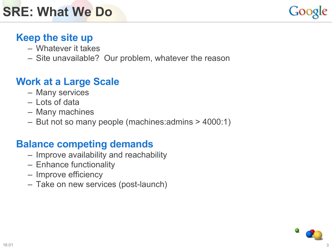## **Keep the site up**

- Whatever it takes
- Site unavailable? Our problem, whatever the reason

# **Work at a Large Scale**

- Many services
- Lots of data
- Many machines
- But not so many people (machines:admins > 4000:1)

#### **Balance competing demands**

- Improve availability and reachability
- Enhance functionality
- Improve efficiency
- Take on new services (post-launch)

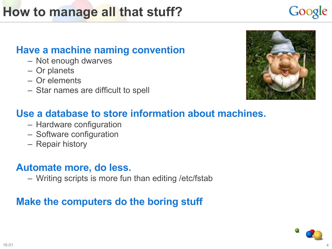# **How to manage all that stuff?**

## **Have a machine naming convention**

- Not enough dwarves
- Or planets
- Or elements
- Star names are difficult to spell

# **Use a database to store information about machines.**

- Hardware configuration
- Software configuration
- Repair history

#### **Automate more, do less.**

– Writing scripts is more fun than editing /etc/fstab

# **Make the computers do the boring stuff**





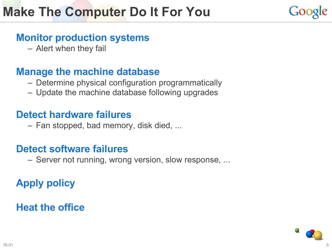#### **Monitor production systems**

– Alert when they fail

#### **Manage the machine database**

- Determine physical configuration programmatically
- Update the machine database following upgrades

#### **Detect hardware failures**

– Fan stopped, bad memory, disk died, ...

#### **Detect software failures**

– Server not running, wrong version, slow response, ...

## **Apply policy**

#### **Heat the office**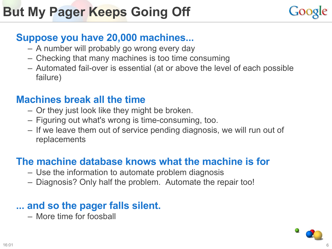# **But My Pager Keeps Going Off**

#### **Suppose you have 20,000 machines...**

- A number will probably go wrong every day
- Checking that many machines is too time consuming
- Automated fail-over is essential (at or above the level of each possible failure)

#### **Machines break all the time**

- Or they just look like they might be broken.
- Figuring out what's wrong is time-consuming, too.
- If we leave them out of service pending diagnosis, we will run out of replacements

#### **The machine database knows what the machine is for**

- Use the information to automate problem diagnosis
- Diagnosis? Only half the problem. Automate the repair too!

#### **... and so the pager falls silent.**

– More time for foosball

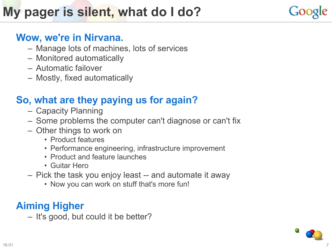# **My pager is silent, what do I do?**

#### **Wow, we're in Nirvana.**

- Manage lots of machines, lots of services
- Monitored automatically
- Automatic failover
- Mostly, fixed automatically

# **So, what are they paying us for again?**

- Capacity Planning
- Some problems the computer can't diagnose or can't fix
- Other things to work on
	- Product features
	- Performance engineering, infrastructure improvement
	- Product and feature launches
	- Guitar Hero
- Pick the task you enjoy least -- and automate it away
	- Now you can work on stuff that's more fun!

## **Aiming Higher**

– It's good, but could it be better?

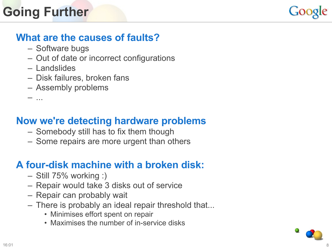# **Going Further**

# **What are the causes of faults?**

- Software bugs
- Out of date or incorrect configurations
- Landslides
- Disk failures, broken fans
- Assembly problems

– ...

#### **Now we're detecting hardware problems**

- Somebody still has to fix them though
- Some repairs are more urgent than others

# **A four-disk machine with a broken disk:**

- Still 75% working :)
- Repair would take 3 disks out of service
- Repair can probably wait
- There is probably an ideal repair threshold that...
	- Minimises effort spent on repair
	- Maximises the number of in-service disks

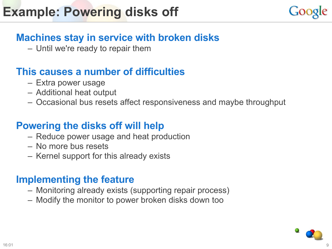# **Example: Powering disks off**

## **Machines stay in service with broken disks**

– Until we're ready to repair them

# **This causes a number of difficulties**

- Extra power usage
- Additional heat output
- Occasional bus resets affect responsiveness and maybe throughput

## **Powering the disks off will help**

- Reduce power usage and heat production
- No more bus resets
- Kernel support for this already exists

#### **Implementing the feature**

- Monitoring already exists (supporting repair process)
- Modify the monitor to power broken disks down too

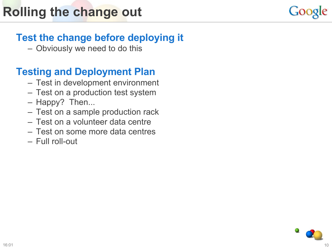# **Rolling the change out**

# **Test the change before deploying it**

– Obviously we need to do this

## **Testing and Deployment Plan**

- Test in development environment
- Test on a production test system
- Happy? Then...
- Test on a sample production rack
- Test on a volunteer data centre
- Test on some more data centres
- Full roll-out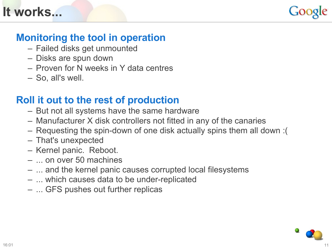# **It works...**



## **Monitoring the tool in operation**

- Failed disks get unmounted
- Disks are spun down
- Proven for N weeks in Y data centres
- So, all's well.

## **Roll it out to the rest of production**

- But not all systems have the same hardware
- Manufacturer X disk controllers not fitted in any of the canaries
- Requesting the spin-down of one disk actually spins them all down :(
- That's unexpected
- Kernel panic. Reboot.
- ... on over 50 machines
- ... and the kernel panic causes corrupted local filesystems
- ... which causes data to be under-replicated
- ... GFS pushes out further replicas

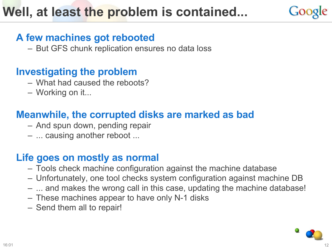# **Well, at least the problem is contained...**

#### **A few machines got rebooted**

– But GFS chunk replication ensures no data loss

#### **Investigating the problem**

- What had caused the reboots?
- Working on it...

### **Meanwhile, the corrupted disks are marked as bad**

- And spun down, pending repair
- ... causing another reboot ...

#### **Life goes on mostly as normal**

- Tools check machine configuration against the machine database
- Unfortunately, one tool checks system configuration against machine DB
- ... and makes the wrong call in this case, updating the machine database!
- These machines appear to have only N-1 disks
- Send them all to repair!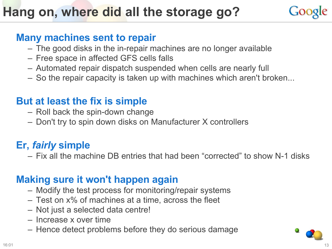# **Hang on, where did all the storage go?**

#### **Many machines sent to repair**

- The good disks in the in-repair machines are no longer available
- Free space in affected GFS cells falls
- Automated repair dispatch suspended when cells are nearly full
- So the repair capacity is taken up with machines which aren't broken...

#### **But at least the fix is simple**

- Roll back the spin-down change
- Don't try to spin down disks on Manufacturer X controllers

# **Er,** *fairly* **simple**

– Fix all the machine DB entries that had been "corrected" to show N-1 disks

#### **Making sure it won't happen again**

- Modify the test process for monitoring/repair systems
- Test on x% of machines at a time, across the fleet
- Not just a selected data centre!
- Increase x over time
- Hence detect problems before they do serious damage

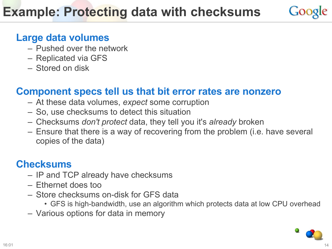# **Example: Protecting data with checksums**

### **Large data volumes**

- Pushed over the network
- Replicated via GFS
- Stored on disk

### **Component specs tell us that bit error rates are nonzero**

- At these data volumes, *expect* some corruption
- So, use checksums to detect this situation
- Checksums *don't protect* data, they tell you it's *already* broken
- Ensure that there is a way of recovering from the problem (i.e. have several copies of the data)

#### **Checksums**

- IP and TCP already have checksums
- Ethernet does too
- Store checksums on-disk for GFS data
	- GFS is high-bandwidth, use an algorithm which protects data at low CPU overhead
- Various options for data in memory

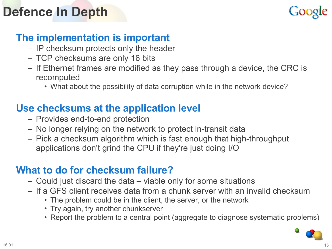# **Defence In Depth**



#### **The implementation is important**

- IP checksum protects only the header
- TCP checksums are only 16 bits
- If Ethernet frames are modified as they pass through a device, the CRC is recomputed
	- What about the possibility of data corruption while in the network device?

# **Use checksums at the application level**

- Provides end-to-end protection
- No longer relying on the network to protect in-transit data
- Pick a checksum algorithm which is fast enough that high-throughput applications don't grind the CPU if they're just doing I/O

# **What to do for checksum failure?**

- Could just discard the data viable only for some situations
- If a GFS client receives data from a chunk server with an invalid checksum
	- The problem could be in the client, the server, or the network
	- Try again, try another chunkserver
	- Report the problem to a central point (aggregate to diagnose systematic problems)

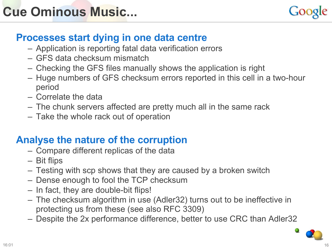

### **Processes start dying in one data centre**

- Application is reporting fatal data verification errors
- GFS data checksum mismatch
- Checking the GFS files manually shows the application is right
- Huge numbers of GFS checksum errors reported in this cell in a two-hour period
- Correlate the data
- The chunk servers affected are pretty much all in the same rack
- Take the whole rack out of operation

## **Analyse the nature of the corruption**

- Compare different replicas of the data
- Bit flips
- Testing with scp shows that they are caused by a broken switch
- Dense enough to fool the TCP checksum
- In fact, they are double-bit flips!
- The checksum algorithm in use (Adler32) turns out to be ineffective in protecting us from these (see also RFC 3309)
- Despite the 2x performance difference, better to use CRC than Adler32

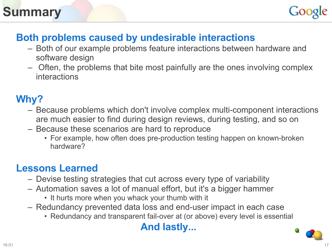



## **Both problems caused by undesirable interactions**

- Both of our example problems feature interactions between hardware and software design
- Often, the problems that bite most painfully are the ones involving complex interactions

## **Why?**

- Because problems which don't involve complex multi-component interactions are much easier to find during design reviews, during testing, and so on
- Because these scenarios are hard to reproduce
	- For example, how often does pre-production testing happen on known-broken hardware?

# **Lessons Learned**

- Devise testing strategies that cut across every type of variability
- Automation saves a lot of manual effort, but it's a bigger hammer
	- It hurts more when you whack your thumb with it
- Redundancy prevented data loss and end-user impact in each case
	- Redundancy and transparent fail-over at (or above) every level is essential

# **And lastly...**

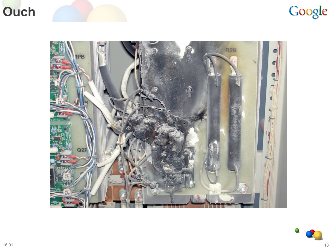